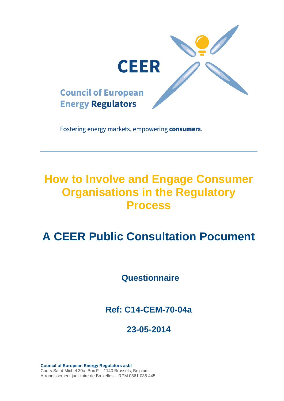

Fostering energy markets, empowering consumers.

# **How to Involve and Engage Consumer Organisations in the Regulatory Process**

# **A CEER Public Consultation Pocument**

**Questionnaire**

**Ref: C14-CEM-70-04a**

# **23-05-2014**

**Council of European Energy Regulators asbl** Cours Saint-Michel 30a, Box F – 1140 Brussels, Belgium Arrondissement judiciaire de Bruxelles – RPM 0861.035.445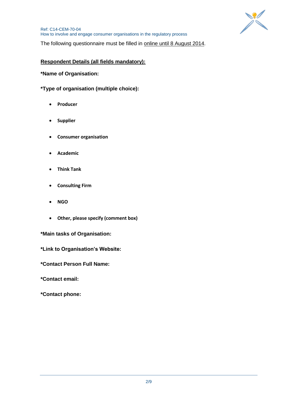

The following questionnaire must be filled in online until 8 August 2014.

# **Respondent Details (all fields mandatory):**

**\*Name of Organisation:**

**\*Type of organisation (multiple choice):**

- **Producer**
- **Supplier**
- **Consumer organisation**
- **Academic**
- **Think Tank**
- **Consulting Firm**
- **NGO**
- **Other, please specify (comment box)**

**\*Main tasks of Organisation:**

**\*Link to Organisation's Website:**

**\*Contact Person Full Name:**

**\*Contact email:**

**\*Contact phone:**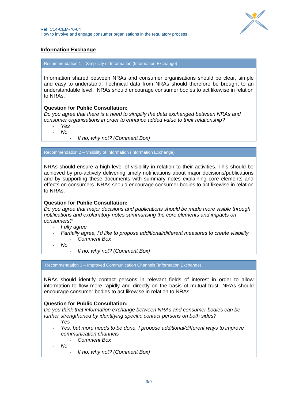

# **Information Exchange**

Recommendation 1 – Simplicity of Information (Information Exchange)

Information shared between NRAs and consumer organisations should be clear, simple and easy to understand. Technical data from NRAs should therefore be brought to an understandable level. NRAs should encourage consumer bodies to act likewise in relation to NRAs.

# **Question for Public Consultation:**

*Do you agree that there is a need to simplify the data exchanged between NRAs and consumer organisations in order to enhance added value to their relationship?* 

- *Yes*
- *No*

- *If no, why not? (Comment Box)*

Recommendation 2 – Visibility of Information (Information Exchange)

NRAs should ensure a high level of visibility in relation to their activities. This should be achieved by pro-actively delivering timely notifications about major decisions/publications and by supporting these documents with summary notes explaining core elements and effects on consumers. NRAs should encourage consumer bodies to act likewise in relation to NRAs.

#### **Question for Public Consultation:**

*Do you agree that major decisions and publications should be made more visible through notifications and explanatory notes summarising the core elements and impacts on consumers?* 

- *Fully agree*
- *Partially agree, I'd like to propose additional/different measures to create visibility* - *Comment Box*

- *No*

- *If no, why not? (Comment Box)*

Recommendation 3 – Improved Communication Channels (Information Exchange)

NRAs should identify contact persons in relevant fields of interest in order to allow information to flow more rapidly and directly on the basis of mutual trust. NRAs should encourage consumer bodies to act likewise in relation to NRAs.

# **Question for Public Consultation:**

*Do you think that information exchange between NRAs and consumer bodies can be further strengthened by identifying specific contact persons on both sides?* 

- *Yes*
- *Yes, but more needs to be done. I propose additional/different ways to improve communication channels*
	- *Comment Box*

- *No*

- *If no, why not? (Comment Box)*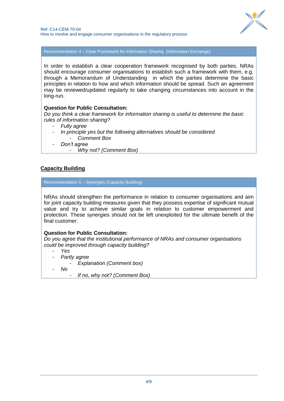

Recommendation 4 – Clear Framework for Information Sharing (Information Exchange)

In order to establish a clear cooperation framework recognised by both parties, NRAs should encourage consumer organisations to establish such a framework with them, e.g. through a Memorandum of Understanding in which the parties determine the basic principles in relation to how and which information should be spread. Such an agreement may be reviewed/updated regularly to take changing circumstances into account in the long-run.

# **Question for Public Consultation:**

*Do you think a clear framework for information sharing is useful to determine the basic rules of information sharing?*

- *Fully agree*
- *In principle yes but the following alternatives should be considered* - *Comment Box*
- *Don't agree*
	- *Why not? (Comment Box)*

# **Capacity Building**

Recommendation 5 – Synergies (Capacity Building)

NRAs should strengthen the performance in relation to consumer organisations and aim for joint capacity building measures given that they possess expertise of significant mutual value and try to achieve similar goals in relation to customer empowerment and protection. These synergies should not be left unexploited for the ultimate benefit of the final customer.

# **Question for Public Consultation:**

*Do you agree that the institutional performance of NRAs and consumer organisations could be improved through capacity building?*

- *Yes*
- *Partly agree*
	- *Explanation (Comment box)*
- *No*
	- *If no, why not? (Comment Box)*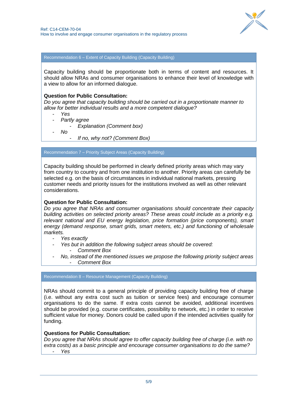

Recommendation 6 – Extent of Capacity Building (Capacity Building)

Capacity building should be proportionate both in terms of content and resources. It should allow NRAs and consumer organisations to enhance their level of knowledge with a view to allow for an informed dialogue.

#### **Question for Public Consultation:**

*Do you agree that capacity building should be carried out in a proportionate manner to allow for better individual results and a more competent dialogue?*

- *Yes*
- *Partly agree*
	- *Explanation (Comment box)*
	- *No*

- *If no, why not? (Comment Box)*

Recommendation 7 – Priority Subject Areas (Capacity Building)

Capacity building should be performed in clearly defined priority areas which may vary from country to country and from one institution to another. Priority areas can carefully be selected e.g. on the basis of circumstances in individual national markets, pressing customer needs and priority issues for the institutions involved as well as other relevant considerations.

#### **Question for Public Consultation:**

*Do you agree that NRAs and consumer organisations should concentrate their capacity building activities on selected priority areas? These areas could include as a priority e.g. relevant national and EU energy legislation, price formation (price components), smart energy (demand response, smart grids, smart meters, etc.) and functioning of wholesale markets.* 

- *Yes exactly*
- *Yes but in addition the following subject areas should be covered:* - *Comment Box*
- *No, instead of the mentioned issues we propose the following priority subject areas* - *Comment Box*

Recommendation 8 – Resource Management (Capacity Building)

NRAs should commit to a general principle of providing capacity building free of charge (i.e. without any extra cost such as tuition or service fees) and encourage consumer organisations to do the same. If extra costs cannot be avoided, additional incentives should be provided (e.g. course certificates, possibility to network, etc.) in order to receive sufficient value for money. Donors could be called upon if the intended activities qualify for funding.

#### **Questions for Public Consultation:**

*Do you agree that NRAs should agree to offer capacity building free of charge (i.e. with no extra costs) as a basic principle and encourage consumer organisations to do the same?*  - *Yes*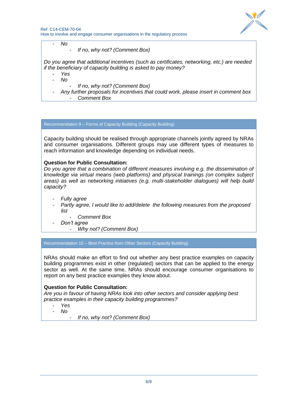

- *No*

- *If no, why not? (Comment Box)*

*Do you agree that additional incentives (such as certificates, networking, etc.) are needed if the beneficiary of capacity building is asked to pay money?*

- *Yes*
- *No*
	- *If no, why not? (Comment Box)*
- *Any further proposals for incentives that could work, please insert in comment box* - *Comment Box*

Recommendation 9 – Forms of Capacity Building (Capacity Building)

Capacity building should be realised through appropriate channels jointly agreed by NRAs and consumer organisations. Different groups may use different types of measures to reach information and knowledge depending on individual needs.

#### **Question for Public Consultation:**

*Do you agree that a combination of different measures involving e.g. the dissemination of knowledge via virtual means (web platforms) and physical trainings (on complex subject areas) as well as networking initiatives (e.g. multi-stakeholder dialogues) will help build capacity?*

- *Fully agree*
- *Partly agree, I would like to add/delete the following measures from the proposed list*
	- *Comment Box*
- *Don't agree*
	- *Why not? (Comment Box)*

Recommendation 10 – Best Practice from Other Sectors (Capacity Building)

NRAs should make an effort to find out whether any best practice examples on capacity building programmes exist in other (regulated) sectors that can be applied to the energy sector as well. At the same time, NRAs should encourage consumer organisations to report on any best practice examples they know about.

# **Question for Public Consultation:**

*Are you in favour of having NRAs look into other sectors and consider applying best practice examples in their capacity building programmes?* 

- *Yes*
- *No*

- *If no, why not? (Comment Box)*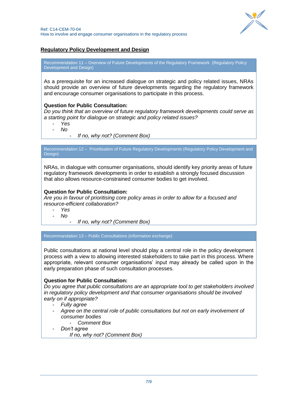

# **Regulatory Policy Development and Design**

Recommendation 11 – Overview of Future Developments of the Regulatory Framework (Regulatory Policy Development and Design)

As a prerequisite for an increased dialogue on strategic and policy related issues, NRAs should provide an overview of future developments regarding the regulatory framework and encourage consumer organisations to participate in this process.

#### **Question for Public Consultation:**

*Do you think that an overview of future regulatory framework developments could serve as a starting point for dialogue on strategic and policy related issues?*

- *Yes*

- *No*
- *If no, why not? (Comment Box)*

Recommendation 12 – Prioritisation of Future Regulatory Developments (Regulatory Policy Development and Design)

NRAs, in dialogue with consumer organisations, should identify key priority areas of future regulatory framework developments in order to establish a strongly focused discussion that also allows resource-constrained consumer bodies to get involved.

# **Question for Public Consultation:**

*Are you in favour of prioritising core policy areas in order to allow for a focused and resource-efficient collaboration?*

- *Yes*

- *No*

- *If no, why not? (Comment Box)*

Recommandation 13 – Public Consultations (information exchange)

Public consultations at national level should play a central role in the policy development process with a view to allowing interested stakeholders to take part in this process. Where appropriate, relevant consumer organisations' input may already be called upon in the early preparation phase of such consultation processes.

# **Question for Public Consultation:**

*Do you agree that public consultations are an appropriate tool to get stakeholders involved in regulatory policy development and that consumer organisations should be involved early on if appropriate?*

- *Fully agree*
- *Agree on the central role of public consultations but not on early involvement of consumer bodies*
	- *Comment Box*
- *Don't agree*
	- *If no, why not? (Comment Box)*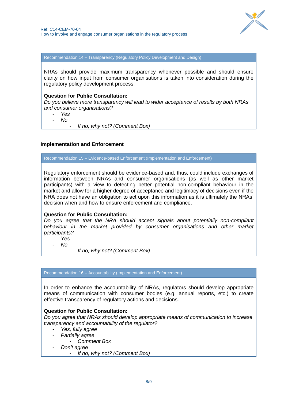

Recommendation 14 – Transparency (Regulatory Policy Development and Design)

NRAs should provide maximum transparency whenever possible and should ensure clarity on how input from consumer organisations is taken into consideration during the regulatory policy development process.

#### **Question for Public Consultation:**

*Do you believe more transparency will lead to wider acceptance of results by both NRAs and consumer organisations?*

- *Yes*

- *No*

- *If no, why not? (Comment Box)*

# **Implementation and Enforcement**

Recommendation 15 – Evidence-based Enforcement (Implementation and Enforcement)

Regulatory enforcement should be evidence-based and, thus, could include exchanges of information between NRAs and consumer organisations (as well as other market participants) with a view to detecting better potential non-compliant behaviour in the market and allow for a higher degree of acceptance and legitimacy of decisions even if the NRA does not have an obligation to act upon this information as it is ultimately the NRAs' decision when and how to ensure enforcement and compliance.

# **Question for Public Consultation:**

*Do you agree that the NRA should accept signals about potentially non-compliant behaviour in the market provided by consumer organisations and other market participants?*

- *Yes* - *No*

- *If no, why not? (Comment Box)*

# Recommendation 16 – Accountability (Implementation and Enforcement)

In order to enhance the accountability of NRAs, regulators should develop appropriate means of communication with consumer bodies (e.g. annual reports, etc.) to create effective transparency of regulatory actions and decisions.

# **Question for Public Consultation:**

*Do you agree that NRAs should develop appropriate means of communication to increase transparency and accountability of the regulator?*

- *Yes, fully agree*
- *Partially agree*
	- *Comment Box*
- *Don't agree*
	- *If no, why not? (Comment Box)*